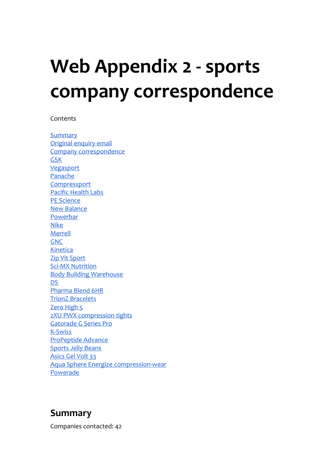# **Web Appendix 2 - sports company correspondence**

#### Contents

**[Summary](#page-0-0)** [Original](#page-1-0) [enquiry](#page-1-0) [email](#page-1-0) [Company](#page-2-0) [correspondence](#page-2-0) [GSK](#page-2-1) [Vegasport](#page-3-0) [Panache](#page-5-0) **[Compressport](#page-6-0)** [Pacific](#page-7-0) [Health](#page-7-0) [Labs](#page-7-0) [PE](#page-7-1) [Science](#page-7-1) [New](#page-8-0) [Balance](#page-8-0) [Powerbar](#page-9-0) [Nike](#page-10-0) **[Merrell](#page-12-0)** [GNC](#page-13-0) [Kinetica](#page-14-0) [Zip](#page-14-1) [Vit](#page-14-1) [Sport](#page-14-1) [Sci-MX](#page-15-0) [Nutrition](#page-15-0) [Body](#page-15-1) [Building](#page-15-1) [Warehouse](#page-15-1) [DS](#page-17-0) [Pharma](#page-18-0) [Blend](#page-18-0) [6HR](#page-18-0) [TrionZ](#page-19-0) [Bracelets](#page-19-0) [Zero](#page-20-0) [High](#page-20-0) [5](#page-20-0) [2XU](#page-21-0) [PWX](#page-21-0) [compression](#page-21-0) [tights](#page-21-0) [Gatorade](#page-22-0) [G](#page-22-0) [Series](#page-22-0) [Pro](#page-22-0) [K-Swiss](#page-23-0) [ProPeptide](#page-23-1) [Advance](#page-23-1) [Sports](#page-28-0) [Jelly](#page-28-0) [Beans](#page-28-0) [Asics](#page-29-0) [Gel](#page-29-0) [Volt](#page-29-0) [33](#page-29-0) [Aqua](#page-29-1) [Sphere](#page-29-1) [Energize](#page-29-1) [compression-wear](#page-29-1) Powerade

## <span id="page-0-0"></span>**Summary**

Companies contacted: 42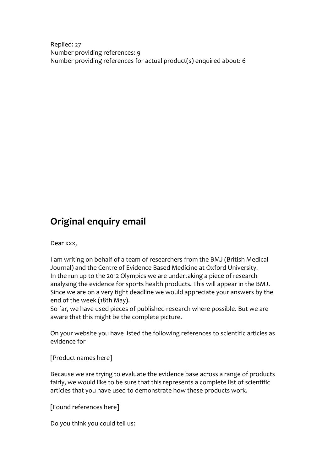<span id="page-1-0"></span>Replied: 27 Number providing references: 9 Number providing references for actual product(s) enquired about: 6

# **Original enquiry email**

#### Dear xxx,

I am writing on behalf of a team of researchers from the BMJ (British Medical Journal) and the Centre of Evidence Based Medicine at Oxford University. In the run up to the 2012 Olympics we are undertaking a piece of research analysing the evidence for sports health products. This will appear in the BMJ. Since we are on a very tight deadline we would appreciate your answers by the end of the week (18th May).

So far, we have used pieces of published research where possible. But we are aware that this might be the complete picture.

On your website you have listed the following references to scientific articles as evidence for

[Product names here]

Because we are trying to evaluate the evidence base across a range of products fairly, we would like to be sure that this represents a complete list of scientific articles that you have used to demonstrate how these products work.

[Found references here]

Do you think you could tell us: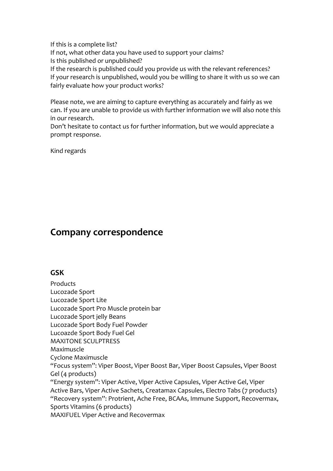If this is a complete list? If not, what other data you have used to support your claims? Is this published or unpublished? If the research is published could you provide us with the relevant references? If your research is unpublished, would you be willing to share it with us so we can

fairly evaluate how your product works?

Please note, we are aiming to capture everything as accurately and fairly as we can. If you are unable to provide us with further information we will also note this in our research.

Don't hesitate to contact us for further information, but we would appreciate a prompt response.

Kind regards

# <span id="page-2-1"></span><span id="page-2-0"></span>**Company correspondence**

## **GSK**

Products Lucozade Sport Lucozade Sport Lite Lucozade Sport Pro Muscle protein bar Lucozade Sport jelly Beans Lucozade Sport Body Fuel Powder Lucoazde Sport Body Fuel Gel MAXITONE SCULPTRESS Maximuscle Cyclone Maximuscle "Focus system": Viper Boost, Viper Boost Bar, Viper Boost Capsules, Viper Boost Gel (4 products) "Energy system": Viper Active, Viper Active Capsules, Viper Active Gel, Viper Active Bars, Viper Active Sachets, Creatamax Capsules, Electro Tabs (7 products) "Recovery system": Protrient, Ache Free, BCAAs, Immune Support, Recovermax, Sports Vitamins (6 products)

MAXIFUEL Viper Active and Recovermax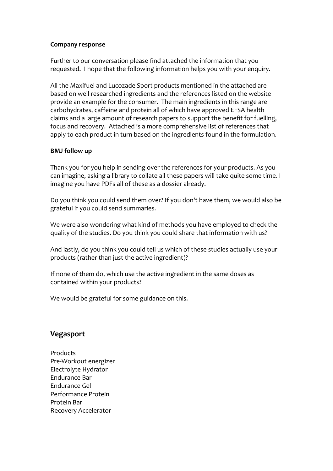#### **Company response**

Further to our conversation please find attached the information that you requested. I hope that the following information helps you with your enquiry.

All the Maxifuel and Lucozade Sport products mentioned in the attached are based on well researched ingredients and the references listed on the website provide an example for the consumer. The main ingredients in this range are carbohydrates, caffeine and protein all of which have approved EFSA health claims and a large amount of research papers to support the benefit for fuelling, focus and recovery. Attached is a more comprehensive list of references that apply to each product in turn based on the ingredients found in the formulation.

#### **BMJ follow up**

Thank you for you help in sending over the references for your products. As you can imagine, asking a library to collate all these papers will take quite some time. I imagine you have PDFs all of these as a dossier already.

Do you think you could send them over? If you don't have them, we would also be grateful if you could send summaries.

We were also wondering what kind of methods you have employed to check the quality of the studies. Do you think you could share that information with us?

And lastly, do you think you could tell us which of these studies actually use your products (rather than just the active ingredient)?

If none of them do, which use the active ingredient in the same doses as contained within your products?

We would be grateful for some guidance on this.

## <span id="page-3-0"></span>**Vegasport**

**Products** Pre-Workout energizer Electrolyte Hydrator Endurance Bar Endurance Gel Performance Protein Protein Bar Recovery Accelerator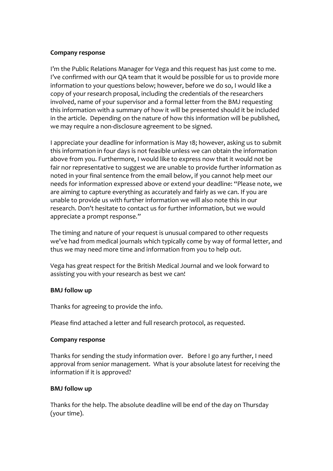#### **Company response**

I'm the Public Relations Manager for Vega and this request has just come to me. I've confirmed with our QA team that it would be possible for us to provide more information to your questions below; however, before we do so, I would like a copy of your research proposal, including the credentials of the researchers involved, name of your supervisor and a formal letter from the BMJ requesting this information with a summary of how it will be presented should it be included in the article. Depending on the nature of how this information will be published, we may require a non-disclosure agreement to be signed.

I appreciate your deadline for information is May 18; however, asking us to submit this information in four days is not feasible unless we can obtain the information above from you. Furthermore, I would like to express now that it would not be fair nor representative to suggest we are unable to provide further information as noted in your final sentence from the email below, if you cannot help meet our needs for information expressed above or extend your deadline: "Please note, we are aiming to capture everything as accurately and fairly as we can. If you are unable to provide us with further information we will also note this in our research. Don't hesitate to contact us for further information, but we would appreciate a prompt response."

The timing and nature of your request is unusual compared to other requests we've had from medical journals which typically come by way of formal letter, and thus we may need more time and information from you to help out.

Vega has great respect for the British Medical Journal and we look forward to assisting you with your research as best we can!

#### **BMJ follow up**

Thanks for agreeing to provide the info.

Please find attached a letter and full research protocol, as requested.

#### **Company response**

Thanks for sending the study information over. Before I go any further, I need approval from senior management. What is your absolute latest for receiving the information if it is approved?

#### **BMJ follow up**

Thanks for the help. The absolute deadline will be end of the day on Thursday (your time).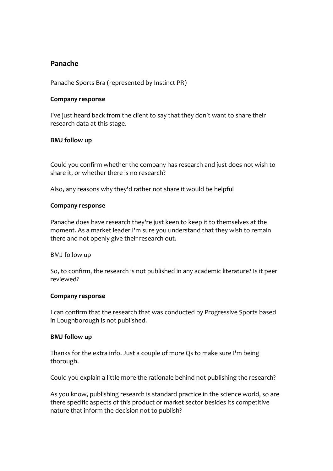## <span id="page-5-0"></span>**Panache**

Panache Sports Bra (represented by Instinct PR)

#### **Company response**

I've just heard back from the client to say that they don't want to share their research data at this stage.

#### **BMJ follow up**

Could you confirm whether the company has research and just does not wish to share it, or whether there is no research?

Also, any reasons why they'd rather not share it would be helpful

#### **Company response**

Panache does have research they're just keen to keep it to themselves at the moment. As a market leader I'm sure you understand that they wish to remain there and not openly give their research out.

BMJ follow up

So, to confirm, the research is not published in any academic literature? Is it peer reviewed?

#### **Company response**

I can confirm that the research that was conducted by Progressive Sports based in Loughborough is not published.

#### **BMJ follow up**

Thanks for the extra info. Just a couple of more Qs to make sure I'm being thorough.

Could you explain a little more the rationale behind not publishing the research?

As you know, publishing research is standard practice in the science world, so are there specific aspects of this product or market sector besides its competitive nature that inform the decision not to publish?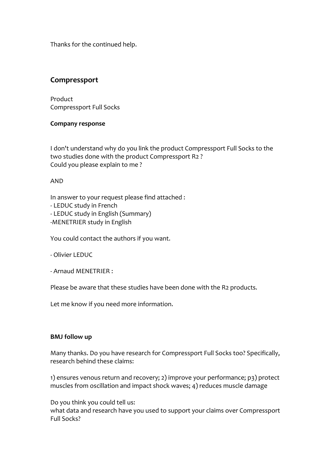Thanks for the continued help.

## <span id="page-6-0"></span>**Compressport**

Product Compressport Full Socks

#### **Company response**

I don't understand why do you link the product Compressport Full Socks to the two studies done with the product Compressport R2 ? Could you please explain to me ?

#### AND

In answer to your request please find attached :

- LEDUC study in French
- LEDUC study in English (Summary)
- -MENETRIER study in English

You could contact the authors if you want.

- Olivier LEDUC

- Arnaud MENETRIER :

Please be aware that these studies have been done with the R2 products.

Let me know if you need more information.

#### **BMJ follow up**

Many thanks. Do you have research for Compressport Full Socks too? Specifically, research behind these claims:

1) ensures venous return and recovery; 2) improve your performance; p3) protect muscles from oscillation and impact shock waves; 4) reduces muscle damage

Do you think you could tell us:

what data and research have you used to support your claims over Compressport Full Socks?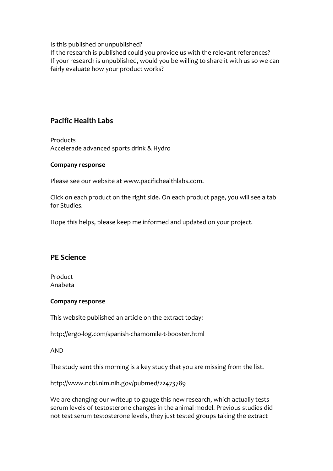Is this published or unpublished?

If the research is published could you provide us with the relevant references? If your research is unpublished, would you be willing to share it with us so we can fairly evaluate how your product works?

## <span id="page-7-0"></span>**Pacific Health Labs**

**Products** Accelerade advanced sports drink & Hydro

#### **Company response**

Please see our website at www.pacifichealthlabs.com.

Click on each product on the right side. On each product page, you will see a tab for Studies.

Hope this helps, please keep me informed and updated on your project.

## <span id="page-7-1"></span>**PE Science**

Product Anabeta

#### **Company response**

This website published an article on the extract today:

http://ergo-log.com/spanish-chamomile-t-booster.html

#### AND

The study sent this morning is a key study that you are missing from the list.

http://www.ncbi.nlm.nih.gov/pubmed/22473789

We are changing our writeup to gauge this new research, which actually tests serum levels of testosterone changes in the animal model. Previous studies did not test serum testosterone levels, they just tested groups taking the extract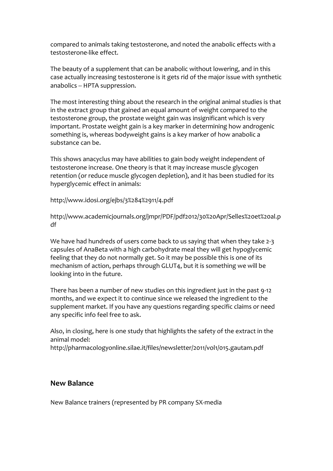compared to animals taking testosterone, and noted the anabolic effects with a testosterone-like effect.

The beauty of a supplement that can be anabolic without lowering, and in this case actually increasing testosterone is it gets rid of the major issue with synthetic anabolics -- HPTA suppression.

The most interesting thing about the research in the original animal studies is that in the extract group that gained an equal amount of weight compared to the testosterone group, the prostate weight gain was insignificant which is very important. Prostate weight gain is a key marker in determining how androgenic something is, whereas bodyweight gains is a key marker of how anabolic a substance can be.

This shows anacyclus may have abilities to gain body weight independent of testosterone increase. One theory is that it may increase muscle glycogen retention (or reduce muscle glycogen depletion), and it has been studied for its hyperglycemic effect in animals:

http://www.idosi.org/ejbs/3%284%2911/4.pdf

http://www.academicjournals.org/jmpr/PDF/pdf2012/30%20Apr/Selles%20et%20al.p df

We have had hundreds of users come back to us saying that when they take 2-3 capsules of AnaBeta with a high carbohydrate meal they will get hypoglycemic feeling that they do not normally get. So it may be possible this is one of its mechanism of action, perhaps through GLUT4, but it is something we will be looking into in the future.

There has been a number of new studies on this ingredient just in the past 9-12 months, and we expect it to continue since we released the ingredient to the supplement market. If you have any questions regarding specific claims or need any specific info feel free to ask.

Also, in closing, here is one study that highlights the safety of the extract in the animal model: http://pharmacologyonline.silae.it/files/newsletter/2011/vol1/015.gautam.pdf

#### <span id="page-8-0"></span>**New Balance**

New Balance trainers (represented by PR company SX-media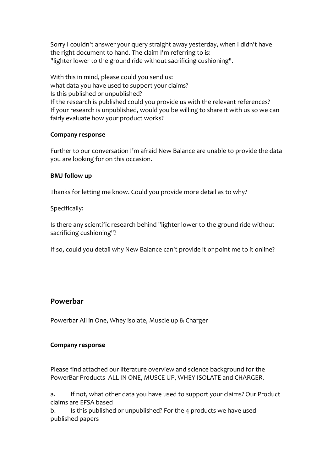Sorry I couldn't answer your query straight away yesterday, when I didn't have the right document to hand. The claim I'm referring to is: "lighter lower to the ground ride without sacrificing cushioning".

With this in mind, please could you send us: what data you have used to support your claims? Is this published or unpublished? If the research is published could you provide us with the relevant references? If your research is unpublished, would you be willing to share it with us so we can fairly evaluate how your product works?

#### **Company response**

Further to our conversation I'm afraid New Balance are unable to provide the data you are looking for on this occasion.

#### **BMJ follow up**

Thanks for letting me know. Could you provide more detail as to why?

Specifically:

Is there any scientific research behind "lighter lower to the ground ride without sacrificing cushioning"?

If so, could you detail why New Balance can't provide it or point me to it online?

#### <span id="page-9-0"></span>**Powerbar**

Powerbar All in One, Whey isolate, Muscle up & Charger

#### **Company response**

Please find attached our literature overview and science background for the PowerBar Products ALL IN ONE, MUSCE UP, WHEY ISOLATE and CHARGER.

a. If not, what other data you have used to support your claims? Our Product claims are EFSA based

b. Is this published or unpublished? For the 4 products we have used published papers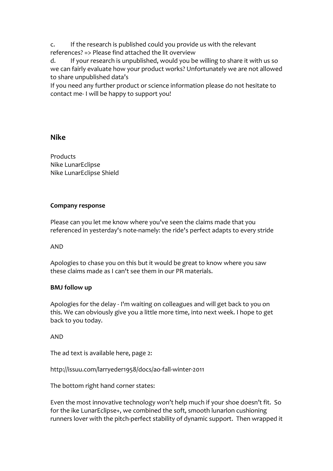c. If the research is published could you provide us with the relevant references? => Please find attached the lit overview<br>d. If your research is unpublished, would you be

If your research is unpublished, would you be willing to share it with us so we can fairly evaluate how your product works? Unfortunately we are not allowed to share unpublished data's

If you need any further product or science information please do not hesitate to contact me- I will be happy to support you!

## <span id="page-10-0"></span>**Nike**

Products Nike LunarEclipse Nike LunarEclipse Shield

#### **Company response**

Please can you let me know where you've seen the claims made that you referenced in yesterday's note-namely: the ride's perfect adapts to every stride

AND

Apologies to chase you on this but it would be great to know where you saw these claims made as I can't see them in our PR materials.

## **BMJ follow up**

Apologies for the delay - I'm waiting on colleagues and will get back to you on this. We can obviously give you a little more time, into next week. I hope to get back to you today.

AND

The ad text is available here, page 2:

http://issuu.com/larryeder1958/docs/ao-fall-winter-2011

The bottom right hand corner states:

Even the most innovative technology won't help much if your shoe doesn't fit. So for the ike LunarEclipse+, we combined the soft, smooth lunarlon cushioning runners lover with the pitch-perfect stability of dynamic support. Then wrapped it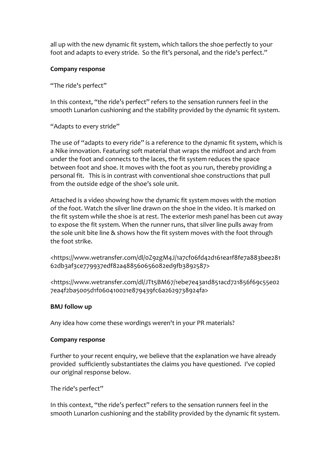all up with the new dynamic fit system, which tailors the shoe perfectly to your foot and adapts to every stride. So the fit's personal, and the ride's perfect."

#### **Company response**

"The ride's perfect"

In this context, "the ride's perfect" refers to the sensation runners feel in the smooth Lunarlon cushioning and the stability provided by the dynamic fit system.

#### "Adapts to every stride"

The use of "adapts to every ride" is a reference to the dynamic fit system, which is a Nike innovation. Featuring soft material that wraps the midfoot and arch from under the foot and connects to the laces, the fit system reduces the space between foot and shoe. It moves with the foot as you run, thereby providing a personal fit. This is in contrast with conventional shoe constructions that pull from the outside edge of the shoe's sole unit.

Attached is a video showing how the dynamic fit system moves with the motion of the foot. Watch the silver line drawn on the shoe in the video. It is marked on the fit system while the shoe is at rest. The exterior mesh panel has been cut away to expose the fit system. When the runner runs, that silver line pulls away from the sole unit bite line & shows how the fit system moves with the foot through the foot strike.

<https://www.wetransfer.com/dl/0Z9zgM4J/1a7cf06fd42d161ea1f8fe7a883bee281 62db3af3ce779937edf82a488560656082ed9fb3892587>

<https://www.wetransfer.com/dl/JTt5BM67/1ebe7e43a1d851acd721856f69c55e02 7ea4f2ba5005d1f060410021e879439fc6a2629738924fa>

#### **BMJ follow up**

Any idea how come these wordings weren't in your PR materials?

#### **Company response**

Further to your recent enquiry, we believe that the explanation we have already provided sufficiently substantiates the claims you have questioned. I've copied our original response below.

The ride's perfect"

In this context, "the ride's perfect" refers to the sensation runners feel in the smooth Lunarlon cushioning and the stability provided by the dynamic fit system.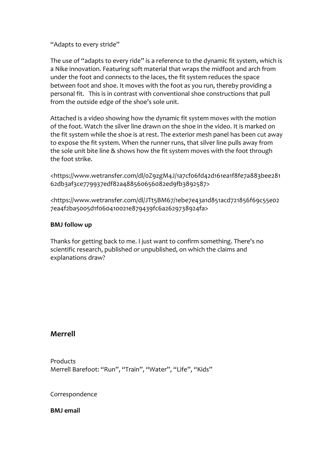"Adapts to every stride"

The use of "adapts to every ride" is a reference to the dynamic fit system, which is a Nike innovation. Featuring soft material that wraps the midfoot and arch from under the foot and connects to the laces, the fit system reduces the space between foot and shoe. It moves with the foot as you run, thereby providing a personal fit. This is in contrast with conventional shoe constructions that pull from the outside edge of the shoe's sole unit.

Attached is a video showing how the dynamic fit system moves with the motion of the foot. Watch the silver line drawn on the shoe in the video. It is marked on the fit system while the shoe is at rest. The exterior mesh panel has been cut away to expose the fit system. When the runner runs, that silver line pulls away from the sole unit bite line & shows how the fit system moves with the foot through the foot strike.

<https://www.wetransfer.com/dl/0Z9zgM4J/1a7cf06fd42d161ea1f8fe7a883bee281 62db3af3ce779937edf82a488560656082ed9fb3892587>

<https://www.wetransfer.com/dl/JTt5BM67/1ebe7e43a1d851acd721856f69c55e02 7ea4f2ba5005d1f060410021e879439fc6a2629738924fa>

#### **BMJ follow up**

Thanks for getting back to me. I just want to confirm something. There's no scientific research, published or unpublished, on which the claims and explanations draw?

## <span id="page-12-0"></span>**Merrell**

Products Merrell Barefoot: "Run", "Train", "Water", "Life", "Kids"

Correspondence

**BMJ email**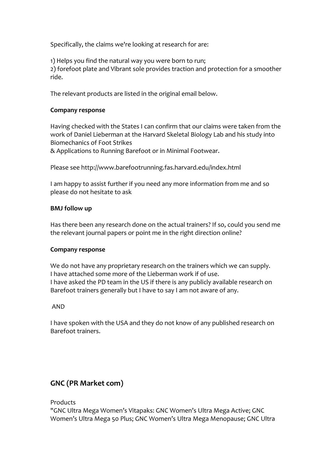Specifically, the claims we're looking at research for are:

1) Helps you find the natural way you were born to run; 2) forefoot plate and Vibrant sole provides traction and protection for a smoother ride.

The relevant products are listed in the original email below.

#### **Company response**

Having checked with the States I can confirm that our claims were taken from the work of Daniel Lieberman at the Harvard Skeletal Biology Lab and his study into Biomechanics of Foot Strikes

& Applications to Running Barefoot or in Minimal Footwear.

Please see http://www.barefootrunning.fas.harvard.edu/index.html

I am happy to assist further if you need any more information from me and so please do not hesitate to ask

#### **BMJ follow up**

Has there been any research done on the actual trainers? If so, could you send me the relevant journal papers or point me in the right direction online?

#### **Company response**

We do not have any proprietary research on the trainers which we can supply. I have attached some more of the Lieberman work if of use. I have asked the PD team in the US if there is any publicly available research on Barefoot trainers generally but I have to say I am not aware of any.

#### AND

I have spoken with the USA and they do not know of any published research on Barefoot trainers.

## <span id="page-13-0"></span>**GNC (PR Market com)**

Products

"GNC Ultra Mega Women's Vitapaks: GNC Women's Ultra Mega Active; GNC Women's Ultra Mega 50 Plus; GNC Women's Ultra Mega Menopause; GNC Ultra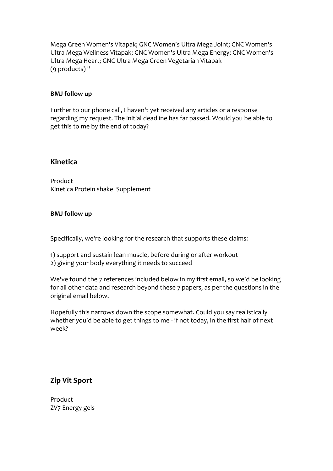Mega Green Women's Vitapak; GNC Women's Ultra Mega Joint; GNC Women's Ultra Mega Wellness Vitapak; GNC Women's Ultra Mega Energy; GNC Women's Ultra Mega Heart; GNC Ultra Mega Green Vegetarian Vitapak (9 products) "

#### **BMJ follow up**

Further to our phone call, I haven't yet received any articles or a response regarding my request. The initial deadline has far passed. Would you be able to get this to me by the end of today?

#### <span id="page-14-0"></span>**Kinetica**

Product Kinetica Protein shake Supplement

#### **BMJ follow up**

Specifically, we're looking for the research that supports these claims:

- 1) support and sustain lean muscle, before during or after workout
- 2) giving your body everything it needs to succeed

We've found the 7 references included below in my first email, so we'd be looking for all other data and research beyond these 7 papers, as per the questions in the original email below.

Hopefully this narrows down the scope somewhat. Could you say realistically whether you'd be able to get things to me - if not today, in the first half of next week?

## <span id="page-14-1"></span>**Zip Vit Sport**

Product ZV7 Energy gels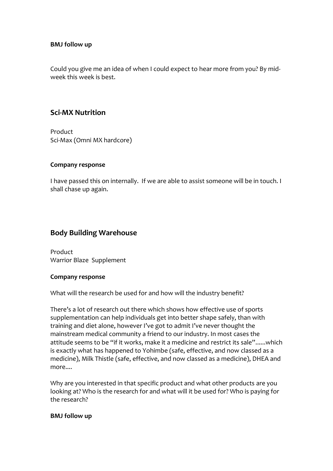#### **BMJ follow up**

Could you give me an idea of when I could expect to hear more from you? By midweek this week is best.

## <span id="page-15-0"></span>**Sci-MX Nutrition**

Product Sci-Max (Omni MX hardcore)

#### **Company response**

I have passed this on internally. If we are able to assist someone will be in touch. I shall chase up again.

## <span id="page-15-1"></span>**Body Building Warehouse**

Product Warrior Blaze Supplement

#### **Company response**

What will the research be used for and how will the industry benefit?

There's a lot of research out there which shows how effective use of sports supplementation can help individuals get into better shape safely, than with training and diet alone, however I've got to admit I've never thought the mainstream medical community a friend to our industry. In most cases the attitude seems to be "if it works, make it a medicine and restrict its sale"......which is exactly what has happened to Yohimbe (safe, effective, and now classed as a medicine), Milk Thistle (safe, effective, and now classed as a medicine), DHEA and more....

Why are you interested in that specific product and what other products are you looking at? Who is the research for and what will it be used for? Who is paying for the research?

#### **BMJ follow up**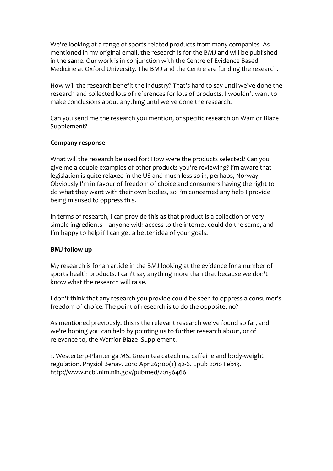We're looking at a range of sports-related products from many companies. As mentioned in my original email, the research is for the BMJ and will be published in the same. Our work is in conjunction with the Centre of Evidence Based Medicine at Oxford University. The BMJ and the Centre are funding the research.

How will the research benefit the industry? That's hard to say until we've done the research and collected lots of references for lots of products. I wouldn't want to make conclusions about anything until we've done the research.

Can you send me the research you mention, or specific research on Warrior Blaze Supplement?

#### **Company response**

What will the research be used for? How were the products selected? Can you give me a couple examples of other products you're reviewing? I'm aware that legislation is quite relaxed in the US and much less so in, perhaps, Norway. Obviously I'm in favour of freedom of choice and consumers having the right to do what they want with their own bodies, so I'm concerned any help I provide being misused to oppress this.

In terms of research, I can provide this as that product is a collection of very simple ingredients – anyone with access to the internet could do the same, and I'm happy to help if I can get a better idea of your goals.

#### **BMJ follow up**

My research is for an article in the BMJ looking at the evidence for a number of sports health products. I can't say anything more than that because we don't know what the research will raise.

I don't think that any research you provide could be seen to oppress a consumer's freedom of choice. The point of research is to do the opposite, no?

As mentioned previously, this is the relevant research we've found so far, and we're hoping you can help by pointing us to further research about, or of relevance to, the Warrior Blaze Supplement.

1. Westerterp-Plantenga MS. Green tea catechins, caffeine and body-weight regulation. Physiol Behav. 2010 Apr 26;100(1):42-6. Epub 2010 Feb13. http://www.ncbi.nlm.nih.gov/pubmed/20156466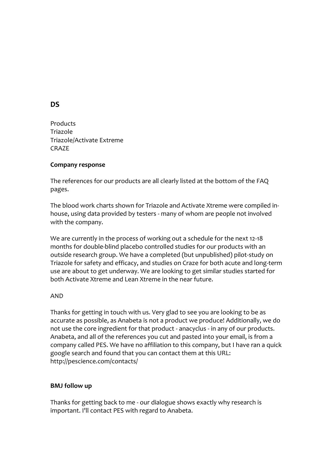## <span id="page-17-0"></span>**DS**

Products Triazole Triazole/Activate Extreme CRAZE

#### **Company response**

The references for our products are all clearly listed at the bottom of the FAQ pages.

The blood work charts shown for Triazole and Activate Xtreme were compiled inhouse, using data provided by testers - many of whom are people not involved with the company.

We are currently in the process of working out a schedule for the next 12-18 months for double-blind placebo controlled studies for our products with an outside research group. We have a completed (but unpublished) pilot-study on Triazole for safety and efficacy, and studies on Craze for both acute and long-term use are about to get underway. We are looking to get similar studies started for both Activate Xtreme and Lean Xtreme in the near future.

#### AND

Thanks for getting in touch with us. Very glad to see you are looking to be as accurate as possible, as Anabeta is not a product we produce! Additionally, we do not use the core ingredient for that product - anacyclus - in any of our products. Anabeta, and all of the references you cut and pasted into your email, is from a company called PES. We have no affiliation to this company, but I have ran a quick google search and found that you can contact them at this URL: http://pescience.com/contacts/

#### **BMJ follow up**

Thanks for getting back to me - our dialogue shows exactly why research is important. I'll contact PES with regard to Anabeta.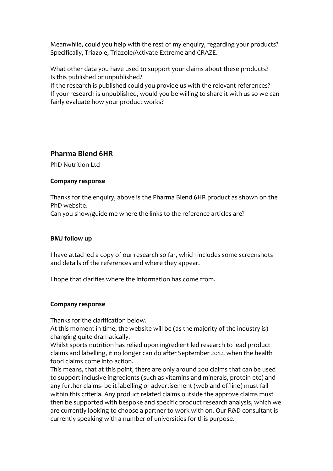Meanwhile, could you help with the rest of my enquiry, regarding your products? Specifically, Triazole, Triazole/Activate Extreme and CRAZE.

What other data you have used to support your claims about these products? Is this published or unpublished?

If the research is published could you provide us with the relevant references? If your research is unpublished, would you be willing to share it with us so we can fairly evaluate how your product works?

## <span id="page-18-0"></span>**Pharma Blend 6HR**

PhD Nutrition Ltd

#### **Company response**

Thanks for the enquiry, above is the Pharma Blend 6HR product as shown on the PhD website.

Can you show/guide me where the links to the reference articles are?

#### **BMJ follow up**

I have attached a copy of our research so far, which includes some screenshots and details of the references and where they appear.

I hope that clarifies where the information has come from.

#### **Company response**

Thanks for the clarification below.

At this moment in time, the website will be (as the majority of the industry is) changing quite dramatically.

Whilst sports nutrition has relied upon ingredient led research to lead product claims and labelling, it no longer can do after September 2012, when the health food claims come into action.

This means, that at this point, there are only around 200 claims that can be used to support inclusive ingredients (such as vitamins and minerals, protein etc) and any further claims- be it labelling or advertisement (web and offline) must fall within this criteria. Any product related claims outside the approve claims must then be supported with bespoke and specific product research analysis, which we are currently looking to choose a partner to work with on. Our R&D consultant is currently speaking with a number of universities for this purpose.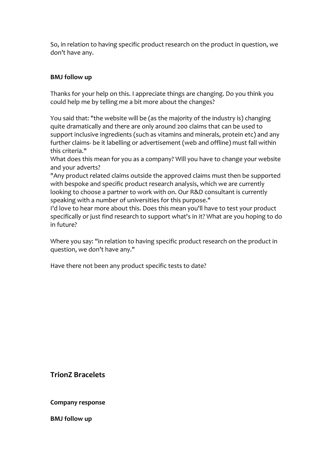So, in relation to having specific product research on the product in question, we don't have any.

#### **BMJ follow up**

Thanks for your help on this. I appreciate things are changing. Do you think you could help me by telling me a bit more about the changes?

You said that: "the website will be (as the majority of the industry is) changing quite dramatically and there are only around 200 claims that can be used to support inclusive ingredients (such as vitamins and minerals, protein etc) and any further claims- be it labelling or advertisement (web and offline) must fall within this criteria."

What does this mean for you as a company? Will you have to change your website and your adverts?

"Any product related claims outside the approved claims must then be supported with bespoke and specific product research analysis, which we are currently looking to choose a partner to work with on. Our R&D consultant is currently speaking with a number of universities for this purpose."

I'd love to hear more about this. Does this mean you'll have to test your product specifically or just find research to support what's in it? What are you hoping to do in future?

Where you say: "in relation to having specific product research on the product in question, we don't have any."

Have there not been any product specific tests to date?

<span id="page-19-0"></span>**TrionZ Bracelets**

**Company response**

**BMJ follow up**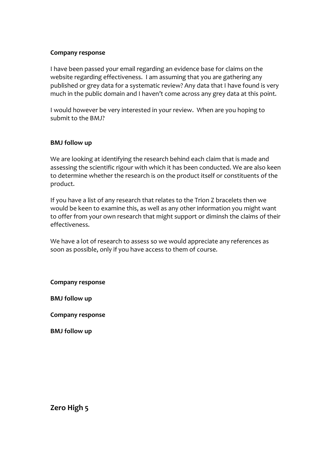#### **Company response**

I have been passed your email regarding an evidence base for claims on the website regarding effectiveness. I am assuming that you are gathering any published or grey data for a systematic review? Any data that I have found is very much in the public domain and I haven't come across any grey data at this point.

I would however be very interested in your review. When are you hoping to submit to the BMJ?

#### **BMJ follow up**

We are looking at identifying the research behind each claim that is made and assessing the scientific rigour with which it has been conducted. We are also keen to determine whether the research is on the product itself or constituents of the product.

If you have a list of any research that relates to the Trion Z bracelets then we would be keen to examine this, as well as any other information you might want to offer from your own research that might support or diminsh the claims of their effectiveness.

We have a lot of research to assess so we would appreciate any references as soon as possible, only if you have access to them of course.

**Company response**

**BMJ follow up**

**Company response**

**BMJ follow up**

<span id="page-20-0"></span>**Zero High 5**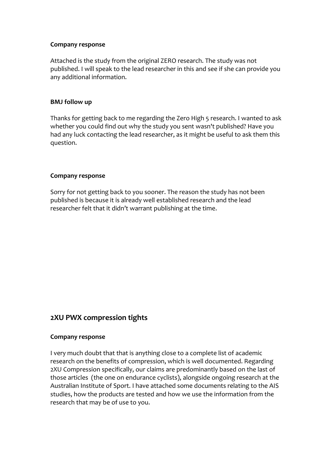#### **Company response**

Attached is the study from the original ZERO research. The study was not published. I will speak to the lead researcher in this and see if she can provide you any additional information.

#### **BMJ follow up**

Thanks for getting back to me regarding the Zero High 5 research. I wanted to ask whether you could find out why the study you sent wasn't published? Have you had any luck contacting the lead researcher, as it might be useful to ask them this question.

#### **Company response**

Sorry for not getting back to you sooner. The reason the study has not been published is because it is already well established research and the lead researcher felt that it didn't warrant publishing at the time.

## <span id="page-21-0"></span>**2XU PWX compression tights**

#### **Company response**

I very much doubt that that is anything close to a complete list of academic research on the benefits of compression, which is well documented. Regarding 2XU Compression specifically, our claims are predominantly based on the last of those articles (the one on endurance cyclists), alongside ongoing research at the Australian Institute of Sport. I have attached some documents relating to the AIS studies, how the products are tested and how we use the information from the research that may be of use to you.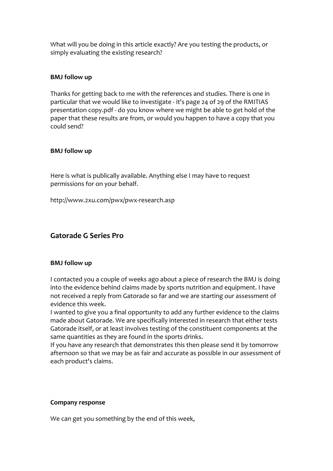What will you be doing in this article exactly? Are you testing the products, or simply evaluating the existing research?

#### **BMJ follow up**

Thanks for getting back to me with the references and studies. There is one in particular that we would like to investigate - it's page 24 of 29 of the RMITIAS presentation copy.pdf - do you know where we might be able to get hold of the paper that these results are from, or would you happen to have a copy that you could send?

#### **BMJ follow up**

Here is what is publically available. Anything else I may have to request permissions for on your behalf.

http://www.2xu.com/pwx/pwx-research.asp

## <span id="page-22-0"></span>**Gatorade G Series Pro**

#### **BMJ follow up**

I contacted you a couple of weeks ago about a piece of research the BMJ is doing into the evidence behind claims made by sports nutrition and equipment. I have not received a reply from Gatorade so far and we are starting our assessment of evidence this week.

I wanted to give you a final opportunity to add any further evidence to the claims made about Gatorade. We are specifically interested in research that either tests Gatorade itself, or at least involves testing of the constituent components at the same quantities as they are found in the sports drinks.

If you have any research that demonstrates this then please send it by tomorrow afternoon so that we may be as fair and accurate as possible in our assessment of each product's claims.

#### **Company response**

We can get you something by the end of this week,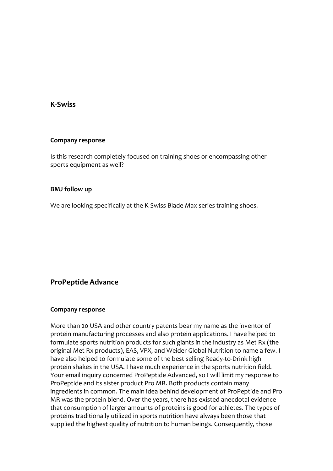## <span id="page-23-0"></span>**K-Swiss**

#### **Company response**

Is this research completely focused on training shoes or encompassing other sports equipment as well?

#### **BMJ follow up**

We are looking specifically at the K-Swiss Blade Max series training shoes.

## <span id="page-23-1"></span>**ProPeptide Advance**

#### **Company response**

More than 20 USA and other country patents bear my name as the inventor of protein manufacturing processes and also protein applications. I have helped to formulate sports nutrition products for such giants in the industry as Met Rx (the original Met Rx products), EAS, VPX, and Weider Global Nutrition to name a few. I have also helped to formulate some of the best selling Ready-to-Drink high protein shakes in the USA. I have much experience in the sports nutrition field. Your email inquiry concerned ProPeptide Advanced, so I will limit my response to ProPeptide and its sister product Pro MR. Both products contain many ingredients in common. The main idea behind development of ProPeptide and Pro MR was the protein blend. Over the years, there has existed anecdotal evidence that consumption of larger amounts of proteins is good for athletes. The types of proteins traditionally utilized in sports nutrition have always been those that supplied the highest quality of nutrition to human beings. Consequently, those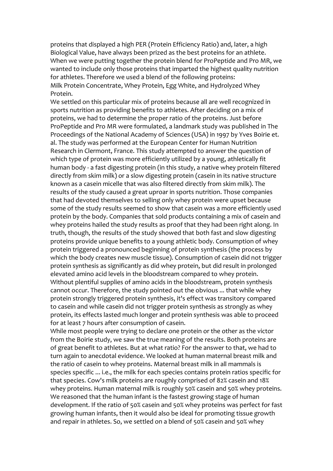proteins that displayed a high PER (Protein Efficiency Ratio) and, later, a high Biological Value, have always been prized as the best proteins for an athlete. When we were putting together the protein blend for ProPeptide and Pro MR, we wanted to include only those proteins that imparted the highest quality nutrition for athletes. Therefore we used a blend of the following proteins: Milk Protein Concentrate, Whey Protein, Egg White, and Hydrolyzed Whey Protein.

We settled on this particular mix of proteins because all are well recognized in sports nutrition as providing benefits to athletes. After deciding on a mix of proteins, we had to determine the proper ratio of the proteins. Just before ProPeptide and Pro MR were formulated, a landmark study was published in The Proceedings of the National Academy of Sciences (USA) in 1997 by Yves Boirie et. al. The study was performed at the European Center for Human Nutrition Research in Clermont, France. This study attempted to answer the question of which type of protein was more efficiently utilized by a young, athletically fit human body - a fast digesting protein (in this study, a native whey protein filtered directly from skim milk) or a slow digesting protein (casein in its native structure known as a casein micelle that was also filtered directly from skim milk). The results of the study caused a great uproar in sports nutrition. Those companies that had devoted themselves to selling only whey protein were upset because some of the study results seemed to show that casein was a more efficiently used protein by the body. Companies that sold products containing a mix of casein and whey proteins hailed the study results as proof that they had been right along. In truth, though, the results of the study showed that both fast and slow digesting proteins provide unique benefits to a young athletic body. Consumption of whey protein triggered a pronounced beginning of protein synthesis (the process by which the body creates new muscle tissue). Consumption of casein did not trigger protein synthesis as significantly as did whey protein, but did result in prolonged elevated amino acid levels in the bloodstream compared to whey protein. Without plentiful supplies of amino acids in the bloodstream, protein synthesis cannot occur. Therefore, the study pointed out the obvious ... that while whey protein strongly triggered protein synthesis, it's effect was transitory compared to casein and while casein did not trigger protein synthesis as strongly as whey protein, its effects lasted much longer and protein synthesis was able to proceed for at least 7 hours after consumption of casein.

While most people were trying to declare one protein or the other as the victor from the Boirie study, we saw the true meaning of the results. Both proteins are of great benefit to athletes. But at what ratio? For the answer to that, we had to turn again to anecdotal evidence. We looked at human maternal breast milk and the ratio of casein to whey proteins. Maternal breast milk in all mammals is species specific ... i.e., the milk for each species contains protein ratios specific for that species. Cow's milk proteins are roughly comprised of 82% casein and 18% whey proteins. Human maternal milk is roughly 50% casein and 50% whey proteins. We reasoned that the human infant is the fastest growing stage of human development. If the ratio of 50% casein and 50% whey proteins was perfect for fast growing human infants, then it would also be ideal for promoting tissue growth and repair in athletes. So, we settled on a blend of 50% casein and 50% whey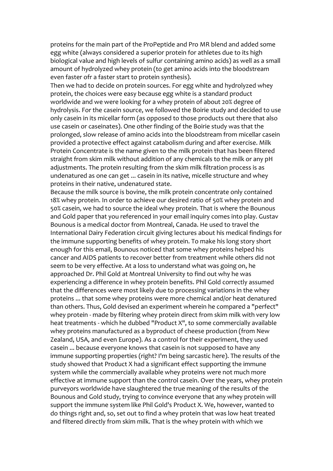proteins for the main part of the ProPeptide and Pro MR blend and added some egg white (always considered a superior protein for athletes due to its high biological value and high levels of sulfur containing amino acids) as well as a small amount of hydrolyzed whey protein (to get amino acids into the bloodstream even faster ofr a faster start to protein synthesis).

Then we had to decide on protein sources. For egg white and hydrolyzed whey protein, the choices were easy because egg white is a standard product worldwide and we were looking for a whey protein of about 20% degree of hydrolysis. For the casein source, we followed the Boirie study and decided to use only casein in its micellar form (as opposed to those products out there that also use casein or caseinates). One other finding of the Boirie study was that the prolonged, slow release of amino acids into the bloodstream from micellar casein provided a protective effect against catabolism during and after exercise. Milk Protein Concentrate is the name given to the milk protein that has been filtered straight from skim milk without addition of any chemicals to the milk or any pH adjustments. The protein resulting from the skim milk filtration process is as undenatured as one can get ... casein in its native, micelle structure and whey proteins in their native, undenatured state.

Because the milk source is bovine, the milk protein concentrate only contained 18% whey protein. In order to achieve our desired ratio of 50% whey protein and 50% casein, we had to source the ideal whey protein. That is where the Bounous and Gold paper that you referenced in your email inquiry comes into play. Gustav Bounous is a medical doctor from Montreal, Canada. He used to travel the International Dairy Federation circuit giving lectures about his medical findings for the immune supporting benefits of whey protein. To make his long story short enough for this email, Bounous noticed that some whey proteins helped his cancer and AIDS patients to recover better from treatment while others did not seem to be very effective. At a loss to understand what was going on, he approached Dr. Phil Gold at Montreal University to find out why he was experiencing a difference in whey protein benefits. Phil Gold correctly assumed that the differences were most likely due to processing variations in the whey proteins ... that some whey proteins were more chemical and/or heat denatured than others. Thus, Gold devised an experiment wherein he compared a "perfect" whey protein - made by filtering whey protein direct from skim milk with very low heat treatments - which he dubbed "Product X", to some commercially available whey proteins manufactured as a byproduct of cheese production (from New Zealand, USA, and even Europe). As a control for their experiment, they used casein ... because everyone knows that casein is not supposed to have any immune supporting properties (right? I'm being sarcastic here). The results of the study showed that Product X had a significant effect supporting the immune system while the commercially available whey proteins were not much more effective at immune support than the control casein. Over the years, whey protein purveyors worldwide have slaughtered the true meaning of the results of the Bounous and Gold study, trying to convince everyone that any whey protein will support the immune system like Phil Gold's Product X. We, however, wanted to do things right and, so, set out to find a whey protein that was low heat treated and filtered directly from skim milk. That is the whey protein with which we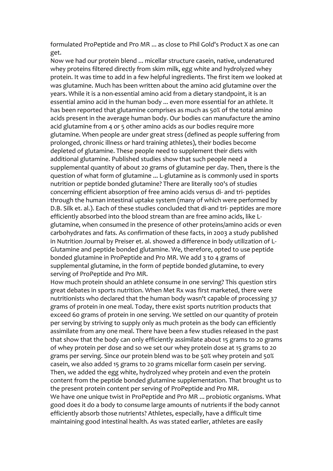formulated ProPeptide and Pro MR ... as close to Phil Gold's Product X as one can get.

Now we had our protein blend ... micellar structure casein, native, undenatured whey proteins filtered directly from skim milk, egg white and hydrolyzed whey protein. It was time to add in a few helpful ingredients. The first item we looked at was glutamine. Much has been written about the amino acid glutamine over the years. While it is a non-essential amino acid from a dietary standpoint, it is an essential amino acid in the human body ... even more essential for an athlete. It has been reported that glutamine comprises as much as 50% of the total amino acids present in the average human body. Our bodies can manufacture the amino acid glutamine from 4 or 5 other amino acids as our bodies require more glutamine. When people are under great stress (defined as people suffering from prolonged, chronic illness or hard training athletes), their bodies become depleted of glutamine. These people need to supplement their diets with additional glutamine. Published studies show that such people need a supplemental quantity of about 20 grams of glutamine per day. Then, there is the question of what form of glutamine ... L-glutamine as is commonly used in sports nutrition or peptide bonded glutamine? There are literally 100's of studies concerning efficient absorption of free amino acids versus di- and tri- peptides through the human intestinal uptake system (many of which were performed by D.B. Silk et. al.). Each of these studies concluded that di-and tri- peptides are more efficiently absorbed into the blood stream than are free amino acids, like Lglutamine, when consumed in the presence of other proteins/amino acids or even carbohydrates and fats. As confirmation of these facts, in 2003 a study published in Nutrition Journal by Preiser et. al. showed a difference in body utilization of L-Glutamine and peptide bonded glutamine. We, therefore, opted to use peptide bonded glutamine in ProPeptide and Pro MR. We add 3 to 4 grams of supplemental glutamine, in the form of peptide bonded glutamine, to every serving of ProPeptide and Pro MR.

How much protein should an athlete consume in one serving? This question stirs great debates in sports nutrition. When Met Rx was first marketed, there were nutritionists who declared that the human body wasn't capable of processing 37 grams of protein in one meal. Today, there exist sports nutrition products that exceed 60 grams of protein in one serving. We settled on our quantity of protein per serving by striving to supply only as much protein as the body can efficiently assimilate from any one meal. There have been a few studies released in the past that show that the body can only efficiently assimilate about 15 grams to 20 grams of whey protein per dose and so we set our whey protein dose at 15 grams to 20 grams per serving. Since our protein blend was to be 50% whey protein and 50% casein, we also added 15 grams to 20 grams micellar form casein per serving. Then, we added the egg white, hydrolyzed whey protein and even the protein content from the peptide bonded glutamine supplementation. That brought us to the present protein content per serving of ProPeptide and Pro MR.

We have one unique twist in ProPeptide and Pro MR ... probiotic organisms. What good does it do a body to consume large amounts of nutrients if the body cannot efficiently absorb those nutrients? Athletes, especially, have a difficult time maintaining good intestinal health. As was stated earlier, athletes are easily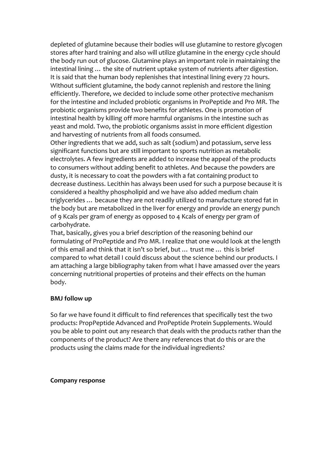depleted of glutamine because their bodies will use glutamine to restore glycogen stores after hard training and also will utilize glutamine in the energy cycle should the body run out of glucose. Glutamine plays an important role in maintaining the intestinal lining … the site of nutrient uptake system of nutrients after digestion. It is said that the human body replenishes that intestinal lining every 72 hours. Without sufficient glutamine, the body cannot replenish and restore the lining efficiently. Therefore, we decided to include some other protective mechanism for the intestine and included probiotic organisms in ProPeptide and Pro MR. The probiotic organisms provide two benefits for athletes. One is promotion of intestinal health by killing off more harmful organisms in the intestine such as yeast and mold. Two, the probiotic organisms assist in more efficient digestion and harvesting of nutrients from all foods consumed.

Other ingredients that we add, such as salt (sodium) and potassium, serve less significant functions but are still important to sports nutrition as metabolic electrolytes. A few ingredients are added to increase the appeal of the products to consumers without adding benefit to athletes. And because the powders are dusty, it is necessary to coat the powders with a fat containing product to decrease dustiness. Lecithin has always been used for such a purpose because it is considered a healthy phospholipid and we have also added medium chain triglycerides … because they are not readily utilized to manufacture stored fat in the body but are metabolized in the liver for energy and provide an energy punch of 9 Kcals per gram of energy as opposed to 4 Kcals of energy per gram of carbohydrate.

That, basically, gives you a brief description of the reasoning behind our formulating of ProPeptide and Pro MR. I realize that one would look at the length of this email and think that it isn't so brief, but … trust me … this is brief compared to what detail I could discuss about the science behind our products. I am attaching a large bibliography taken from what I have amassed over the years concerning nutritional properties of proteins and their effects on the human body.

#### **BMJ follow up**

So far we have found it difficult to find references that specifically test the two products: PropPeptide Advanced and ProPeptide Protein Supplements. Would you be able to point out any research that deals with the products rather than the components of the product? Are there any references that do this or are the products using the claims made for the individual ingredients?

#### **Company response**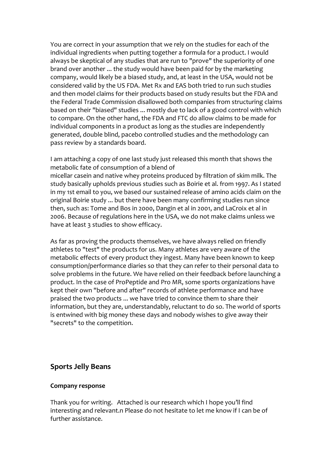You are correct in your assumption that we rely on the studies for each of the individual ingredients when putting together a formula for a product. I would always be skeptical of any studies that are run to "prove" the superiority of one brand over another ... the study would have been paid for by the marketing company, would likely be a biased study, and, at least in the USA, would not be considered valid by the US FDA. Met Rx and EAS both tried to run such studies and then model claims for their products based on study results but the FDA and the Federal Trade Commission disallowed both companies from structuring claims based on their "biased" studies ... mostly due to lack of a good control with which to compare. On the other hand, the FDA and FTC do allow claims to be made for individual components in a product as long as the studies are independently generated, double blind, pacebo controlled studies and the methodology can pass review by a standards board.

I am attaching a copy of one last study just released this month that shows the metabolic fate of consumption of a blend of micellar casein and native whey proteins produced by filtration of skim milk. The study basically upholds previous studies such as Boirie et al. from 1997. As I stated in my 1st email to you, we based our sustained release of amino acids claim on the original Boirie study ... but there have been many confirming studies run since then, such as: Tome and Bos in 2000, Dangin et al in 2001, and LaCroix et al in 2006. Because of regulations here in the USA, we do not make claims unless we have at least 3 studies to show efficacy.

As far as proving the products themselves, we have always relied on friendly athletes to "test" the products for us. Many athletes are very aware of the metabolic effects of every product they ingest. Many have been known to keep consumption/performance diaries so that they can refer to their personal data to solve problems in the future. We have relied on their feedback before launching a product. In the case of ProPeptide and Pro MR, some sports organizations have kept their own "before and after" records of athlete performance and have praised the two products ... we have tried to convince them to share their information, but they are, understandably, reluctant to do so. The world of sports is entwined with big money these days and nobody wishes to give away their "secrets" to the competition.

## <span id="page-28-0"></span>**Sports Jelly Beans**

#### **Company response**

Thank you for writing. Attached is our research which I hope you'll find interesting and relevant.n Please do not hesitate to let me know if I can be of further assistance.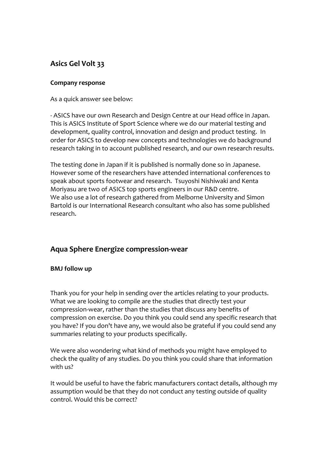## <span id="page-29-0"></span>**Asics Gel Volt 33**

#### **Company response**

As a quick answer see below:

- ASICS have our own Research and Design Centre at our Head office in Japan. This is ASICS Institute of Sport Science where we do our material testing and development, quality control, innovation and design and product testing. In order for ASICS to develop new concepts and technologies we do background research taking in to account published research, and our own research results.

The testing done in Japan if it is published is normally done so in Japanese. However some of the researchers have attended international conferences to speak about sports footwear and research. Tsuyoshi Nishiwaki and Kenta Moriyasu are two of ASICS top sports engineers in our R&D centre. We also use a lot of research gathered from Melborne University and Simon Bartold is our International Research consultant who also has some published research.

## <span id="page-29-1"></span>**Aqua Sphere Energize compression-wear**

#### **BMJ follow up**

Thank you for your help in sending over the articles relating to your products. What we are looking to compile are the studies that directly test your compression-wear, rather than the studies that discuss any benefits of compression on exercise. Do you think you could send any specific research that you have? If you don't have any, we would also be grateful if you could send any summaries relating to your products specifically.

We were also wondering what kind of methods you might have employed to check the quality of any studies. Do you think you could share that information with us?

It would be useful to have the fabric manufacturers contact details, although my assumption would be that they do not conduct any testing outside of quality control. Would this be correct?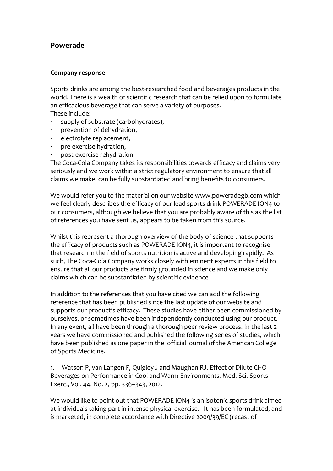## **Powerade**

#### **Company response**

Sports drinks are among the best-researched food and beverages products in the world. There is a wealth of scientific research that can be relied upon to formulate an efficacious beverage that can serve a variety of purposes. These include:

- supply of substrate (carbohydrates),
- · prevention of dehydration,
- electrolyte replacement,
- · pre-exercise hydration,
- post-exercise rehydration

The Coca-Cola Company takes its responsibilities towards efficacy and claims very seriously and we work within a strict regulatory environment to ensure that all claims we make, can be fully substantiated and bring benefits to consumers.

We would refer you to the material on our website www.poweradegb.com which we feel clearly describes the efficacy of our lead sports drink POWERADE ION4 to our consumers, although we believe that you are probably aware of this as the list of references you have sent us, appears to be taken from this source.

Whilst this represent a thorough overview of the body of science that supports the efficacy of products such as POWERADE ION4, it is important to recognise that research in the field of sports nutrition is active and developing rapidly. As such, The Coca-Cola Company works closely with eminent experts in this field to ensure that all our products are firmly grounded in science and we make only claims which can be substantiated by scientific evidence.

In addition to the references that you have cited we can add the following reference that has been published since the last update of our website and supports our product's efficacy. These studies have either been commissioned by ourselves, or sometimes have been independently conducted using our product. In any event, all have been through a thorough peer review process. In the last 2 years we have commissioned and published the following series of studies, which have been published as one paper in the official journal of the American College of Sports Medicine.

1. Watson P, van Langen F, Quigley J and Maughan RJ. Effect of Dilute CHO Beverages on Performance in Cool and Warm Environments. Med. Sci. Sports Exerc., Vol. 44, No. 2, pp. 336–343, 2012.

We would like to point out that POWERADE ION4 is an isotonic sports drink aimed at individuals taking part in intense physical exercise. It has been formulated, and is marketed, in complete accordance with Directive 2009/39/EC (recast of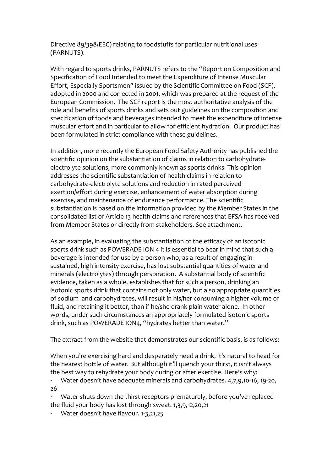Directive 89/398/EEC) relating to foodstuffs for particular nutritional uses (PARNUTS).

With regard to sports drinks, PARNUTS refers to the "Report on Composition and Specification of Food Intended to meet the Expenditure of Intense Muscular Effort, Especially Sportsmen" issued by the Scientific Committee on Food (SCF), adopted in 2000 and corrected in 2001, which was prepared at the request of the European Commission. The SCF report is the most authoritative analysis of the role and benefits of sports drinks and sets out guidelines on the composition and specification of foods and beverages intended to meet the expenditure of intense muscular effort and in particular to allow for efficient hydration. Our product has been formulated in strict compliance with these guidelines.

In addition, more recently the European Food Safety Authority has published the scientific opinion on the substantiation of claims in relation to carbohydrateelectrolyte solutions, more commonly known as sports drinks. This opinion addresses the scientific substantiation of health claims in relation to carbohydrate-electrolyte solutions and reduction in rated perceived exertion/effort during exercise, enhancement of water absorption during exercise, and maintenance of endurance performance. The scientific substantiation is based on the information provided by the Member States in the consolidated list of Article 13 health claims and references that EFSA has received from Member States or directly from stakeholders. See attachment.

As an example, in evaluating the substantiation of the efficacy of an isotonic sports drink such as POWERADE ION 4 it is essential to bear in mind that such a beverage is intended for use by a person who, as a result of engaging in sustained, high intensity exercise, has lost substantial quantities of water and minerals (electrolytes) through perspiration. A substantial body of scientific evidence, taken as a whole, establishes that for such a person, drinking an isotonic sports drink that contains not only water, but also appropriate quantities of sodium and carbohydrates, will result in his/her consuming a higher volume of fluid, and retaining it better, than if he/she drank plain water alone. In other words, under such circumstances an appropriately formulated isotonic sports drink, such as POWERADE ION4, "hydrates better than water."

The extract from the website that demonstrates our scientific basis, is as follows:

When you're exercising hard and desperately need a drink, it's natural to head for the nearest bottle of water. But although it'll quench your thirst, it isn't always the best way to rehydrate your body during or after exercise. Here's why:

· Water doesn't have adequate minerals and carbohydrates. 4,7,9,10-16, 19-20, 26

Water shuts down the thirst receptors prematurely, before you've replaced the fluid your body has lost through sweat. 1,3,9,12,20,21

· Water doesn't have flavour. 1-3,21,25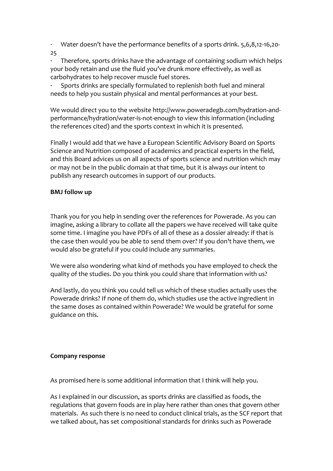· Water doesn't have the performance benefits of a sports drink. 5,6,8,12-16,20-

25

Therefore, sports drinks have the advantage of containing sodium which helps your body retain and use the fluid you've drunk more effectively, as well as carbohydrates to help recover muscle fuel stores.

Sports drinks are specially formulated to replenish both fuel and mineral needs to help you sustain physical and mental performances at your best.

We would direct you to the website http://www.poweradegb.com/hydration-andperformance/hydration/water-is-not-enough to view this information (including the references cited) and the sports context in which it is presented.

Finally I would add that we have a European Scientific Advisory Board on Sports Science and Nutrition composed of academics and practical experts in the field, and this Board advices us on all aspects of sports science and nutrition which may or may not be in the public domain at that time, but it is always our intent to publish any research outcomes in support of our products.

#### **BMJ follow up**

Thank you for you help in sending over the references for Powerade. As you can imagine, asking a library to collate all the papers we have received will take quite some time. I imagine you have PDFs of all of these as a dossier already: if that is the case then would you be able to send them over? If you don't have them, we would also be grateful if you could include any summaries.

We were also wondering what kind of methods you have employed to check the quality of the studies. Do you think you could share that information with us?

And lastly, do you think you could tell us which of these studies actually uses the Powerade drinks? If none of them do, which studies use the active ingredient in the same doses as contained within Powerade? We would be grateful for some guidance on this.

#### **Company response**

As promised here is some additional information that I think will help you.

As I explained in our discussion, as sports drinks are classified as foods, the regulations that govern foods are in play here rather than ones that govern other materials. As such there is no need to conduct clinical trials, as the SCF report that we talked about, has set compositional standards for drinks such as Powerade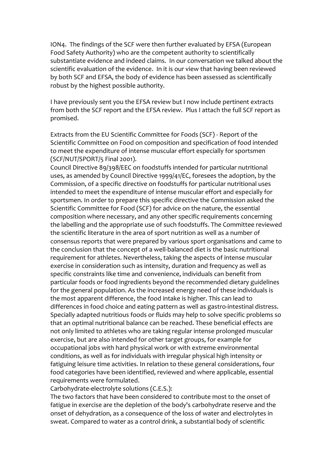ION4. The findings of the SCF were then further evaluated by EFSA (European Food Safety Authority) who are the competent authority to scientifically substantiate evidence and indeed claims. In our conversation we talked about the scientific evaluation of the evidence. In it is our view that having been reviewed by both SCF and EFSA, the body of evidence has been assessed as scientifically robust by the highest possible authority.

I have previously sent you the EFSA review but I now include pertinent extracts from both the SCF report and the EFSA review. Plus I attach the full SCF report as promised.

Extracts from the EU Scientific Committee for Foods (SCF) - Report of the Scientific Committee on Food on composition and specification of food intended to meet the expenditure of intense muscular effort especially for sportsmen (SCF/NUT/SPORT/5 Final 2001).

Council Directive 89/398/EEC on foodstuffs intended for particular nutritional uses, as amended by Council Directive 1999/41/EC, foresees the adoption, by the Commission, of a specific directive on foodstuffs for particular nutritional uses intended to meet the expenditure of intense muscular effort and especially for sportsmen. In order to prepare this specific directive the Commission asked the Scientific Committee for Food (SCF) for advice on the nature, the essential composition where necessary, and any other specific requirements concerning the labelling and the appropriate use of such foodstuffs. The Committee reviewed the scientific literature in the area of sport nutrition as well as a number of consensus reports that were prepared by various sport organisations and came to the conclusion that the concept of a well-balanced diet is the basic nutritional requirement for athletes. Nevertheless, taking the aspects of intense muscular exercise in consideration such as intensity, duration and frequency as well as specific constraints like time and convenience, individuals can benefit from particular foods or food ingredients beyond the recommended dietary guidelines for the general population. As the increased energy need of these individuals is the most apparent difference, the food intake is higher. This can lead to differences in food choice and eating pattern as well as gastro-intestinal distress. Specially adapted nutritious foods or fluids may help to solve specific problems so that an optimal nutritional balance can be reached. These beneficial effects are not only limited to athletes who are taking regular intense prolonged muscular exercise, but are also intended for other target groups, for example for occupational jobs with hard physical work or with extreme environmental conditions, as well as for individuals with irregular physical high intensity or fatiguing leisure time activities. In relation to these general considerations, four food categories have been identified, reviewed and where applicable, essential requirements were formulated.

Carbohydrate-electrolyte solutions (C.E.S.):

The two factors that have been considered to contribute most to the onset of fatigue in exercise are the depletion of the body's carbohydrate reserve and the onset of dehydration, as a consequence of the loss of water and electrolytes in sweat. Compared to water as a control drink, a substantial body of scientific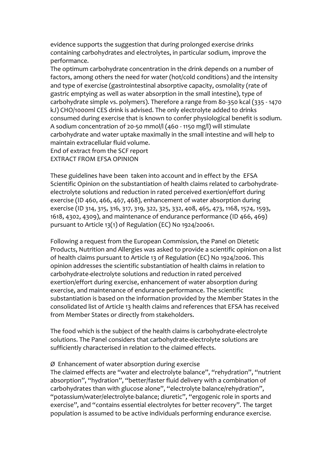evidence supports the suggestion that during prolonged exercise drinks containing carbohydrates and electrolytes, in particular sodium, improve the performance.

The optimum carbohydrate concentration in the drink depends on a number of factors, among others the need for water (hot/cold conditions) and the intensity and type of exercise (gastrointestinal absorptive capacity, osmolality (rate of gastric emptying as well as water absorption in the small intestine), type of carbohydrate simple vs. polymers). Therefore a range from 80-350 kcal (335 - 1470 kJ) CHO/1000ml CES drink is advised. The only electrolyte added to drinks consumed during exercise that is known to confer physiological benefit is sodium. A sodium concentration of 20-50 mmol/l (460 - 1150 mg/l) will stimulate carbohydrate and water uptake maximally in the small intestine and will help to maintain extracellular fluid volume. End of extract from the SCF report

EXTRACT FROM EFSA OPINION

These guidelines have been taken into account and in effect by the EFSA Scientific Opinion on the substantiation of health claims related to carbohydrateelectrolyte solutions and reduction in rated perceived exertion/effort during exercise (ID 460, 466, 467, 468), enhancement of water absorption during exercise (ID 314, 315, 316, 317, 319, 322, 325, 332, 408, 465, 473, 1168, 1574, 1593, 1618, 4302, 4309), and maintenance of endurance performance (ID 466, 469) pursuant to Article 13(1) of Regulation (EC) No 1924/20061.

Following a request from the European Commission, the Panel on Dietetic Products, Nutrition and Allergies was asked to provide a scientific opinion on a list of health claims pursuant to Article 13 of Regulation (EC) No 1924/2006. This opinion addresses the scientific substantiation of health claims in relation to carbohydrate-electrolyte solutions and reduction in rated perceived exertion/effort during exercise, enhancement of water absorption during exercise, and maintenance of endurance performance. The scientific substantiation is based on the information provided by the Member States in the consolidated list of Article 13 health claims and references that EFSA has received from Member States or directly from stakeholders.

The food which is the subject of the health claims is carbohydrate-electrolyte solutions. The Panel considers that carbohydrate-electrolyte solutions are sufficiently characterised in relation to the claimed effects.

#### Ø Enhancement of water absorption during exercise

The claimed effects are "water and electrolyte balance", "rehydration", "nutrient absorption", "hydration", "better/faster fluid delivery with a combination of carbohydrates than with glucose alone", "electrolyte balance/rehydration", "potassium/water/electrolyte-balance; diuretic", "ergogenic role in sports and exercise", and "contains essential electrolytes for better recovery". The target population is assumed to be active individuals performing endurance exercise.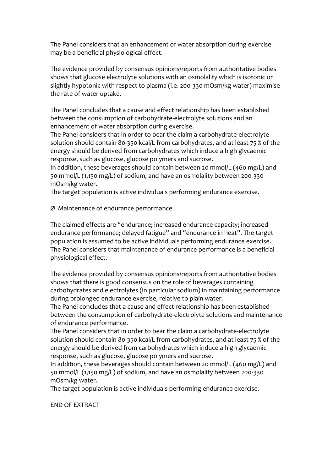The Panel considers that an enhancement of water absorption during exercise may be a beneficial physiological effect.

The evidence provided by consensus opinions/reports from authoritative bodies shows that glucose electrolyte solutions with an osmolality which is isotonic or slightly hypotonic with respect to plasma (i.e. 200-330 mOsm/kg water) maximise the rate of water uptake.

The Panel concludes that a cause and effect relationship has been established between the consumption of carbohydrate-electrolyte solutions and an enhancement of water absorption during exercise.

The Panel considers that in order to bear the claim a carbohydrate-electrolyte solution should contain 80-350 kcal/L from carbohydrates, and at least 75 % of the energy should be derived from carbohydrates which induce a high glycaemic response, such as glucose, glucose polymers and sucrose.

In addition, these beverages should contain between 20 mmol/L (460 mg/L) and 50 mmol/L (1,150 mg/L) of sodium, and have an osmolality between 200-330 mOsm/kg water.

The target population is active individuals performing endurance exercise.

Ø Maintenance of endurance performance

The claimed effects are "endurance; increased endurance capacity; increased endurance performance; delayed fatigue" and "endurance in heat". The target population is assumed to be active individuals performing endurance exercise. The Panel considers that maintenance of endurance performance is a beneficial physiological effect.

The evidence provided by consensus opinions/reports from authoritative bodies shows that there is good consensus on the role of beverages containing carbohydrates and electrolytes (in particular sodium) in maintaining performance during prolonged endurance exercise, relative to plain water.

The Panel concludes that a cause and effect relationship has been established between the consumption of carbohydrate-electrolyte solutions and maintenance of endurance performance.

The Panel considers that in order to bear the claim a carbohydrate-electrolyte solution should contain 80-350 kcal/L from carbohydrates, and at least 75 % of the energy should be derived from carbohydrates which induce a high glycaemic response, such as glucose, glucose polymers and sucrose.

In addition, these beverages should contain between 20 mmol/L (460 mg/L) and 50 mmol/L (1,150 mg/L) of sodium, and have an osmolality between 200-330 mOsm/kg water.

The target population is active individuals performing endurance exercise.

END OF EXTRACT